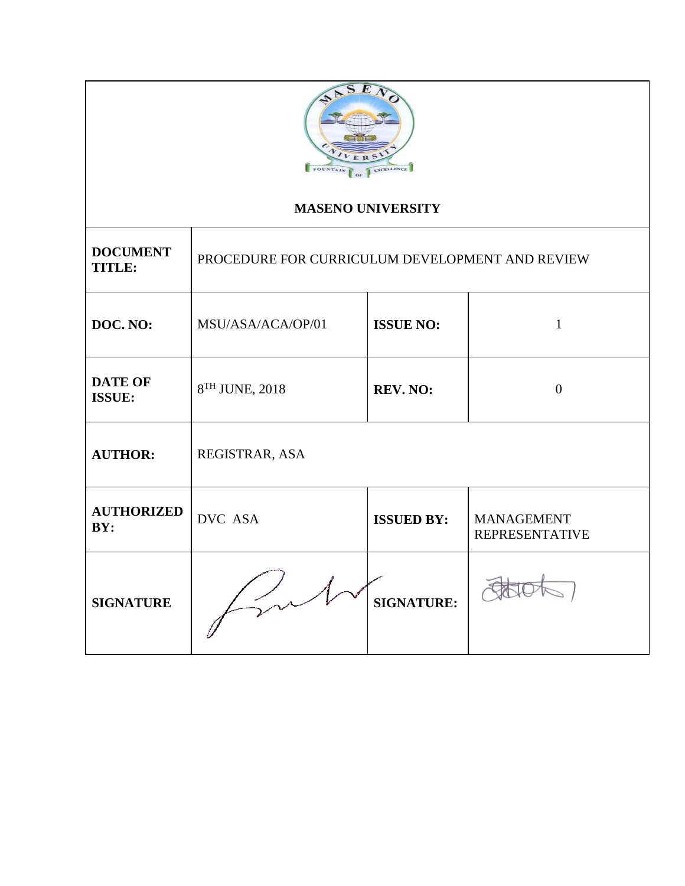

# **MASENO UNIVERSITY**

| <b>DOCUMENT</b><br><b>TITLE:</b> | PROCEDURE FOR CURRICULUM DEVELOPMENT AND REVIEW |                   |                                            |  |
|----------------------------------|-------------------------------------------------|-------------------|--------------------------------------------|--|
| DOC. NO:                         | MSU/ASA/ACA/OP/01                               | <b>ISSUE NO:</b>  | 1                                          |  |
| <b>DATE OF</b><br><b>ISSUE:</b>  | 8 <sup>TH</sup> JUNE, 2018                      | <b>REV. NO:</b>   | $\theta$                                   |  |
| <b>AUTHOR:</b>                   | REGISTRAR, ASA                                  |                   |                                            |  |
| <b>AUTHORIZED</b><br>BY:         | DVC ASA                                         | <b>ISSUED BY:</b> | <b>MANAGEMENT</b><br><b>REPRESENTATIVE</b> |  |
| <b>SIGNATURE</b>                 |                                                 | <b>SIGNATURE:</b> |                                            |  |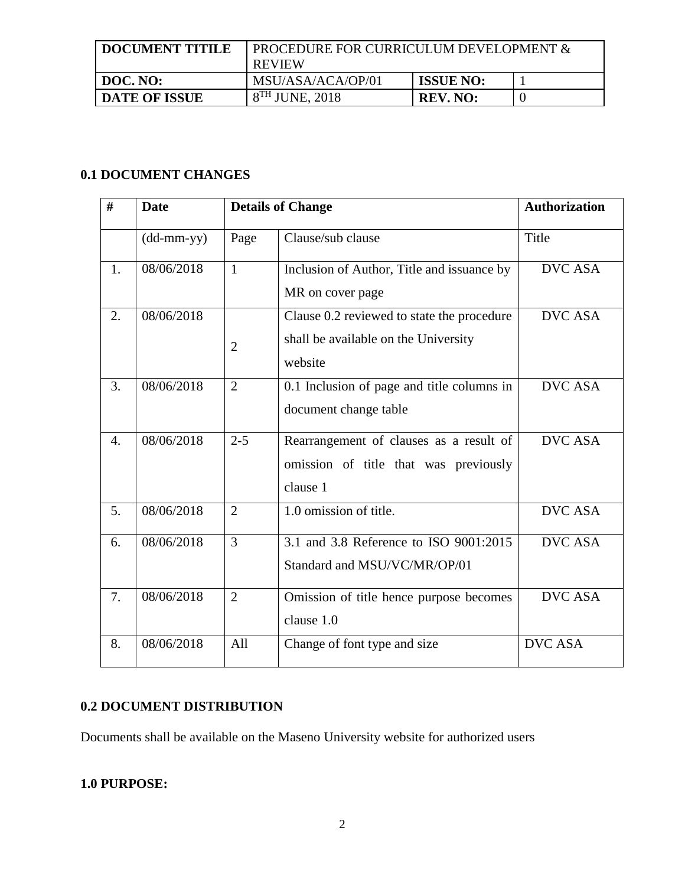| <b>DOCUMENT TITILE</b> | PROCEDURE FOR CURRICULUM DEVELOPMENT &<br><b>REVIEW</b> |                  |  |
|------------------------|---------------------------------------------------------|------------------|--|
| DOC. NO:               | MSU/ASA/ACA/OP/01                                       | <b>ISSUE NO:</b> |  |
| <b>DATE OF ISSUE</b>   | $8TH$ JUNE, 2018                                        | <b>REV. NO:</b>  |  |

# **0.1 DOCUMENT CHANGES**

| #  | <b>Date</b>                                       |                | <b>Details of Change</b>                                                                      | <b>Authorization</b> |
|----|---------------------------------------------------|----------------|-----------------------------------------------------------------------------------------------|----------------------|
|    | $(dd{\text{-}\!\!\,\text{mm-}}\text{\small{yy}})$ | Page           | Clause/sub clause                                                                             | Title                |
| 1. | 08/06/2018                                        | $\mathbf{1}$   | Inclusion of Author, Title and issuance by<br>MR on cover page                                | <b>DVC ASA</b>       |
| 2. | 08/06/2018                                        | $\overline{2}$ | Clause 0.2 reviewed to state the procedure<br>shall be available on the University<br>website | <b>DVC ASA</b>       |
| 3. | 08/06/2018                                        | $\overline{2}$ | 0.1 Inclusion of page and title columns in<br>document change table                           | <b>DVC ASA</b>       |
| 4. | 08/06/2018                                        | $2 - 5$        | Rearrangement of clauses as a result of<br>omission of title that was previously<br>clause 1  | <b>DVC ASA</b>       |
| 5. | 08/06/2018                                        | $\overline{2}$ | 1.0 omission of title.                                                                        | <b>DVC ASA</b>       |
| 6. | 08/06/2018                                        | $\overline{3}$ | 3.1 and 3.8 Reference to ISO 9001:2015<br>Standard and MSU/VC/MR/OP/01                        | <b>DVC ASA</b>       |
| 7. | 08/06/2018                                        | $\overline{2}$ | Omission of title hence purpose becomes<br>clause 1.0                                         | <b>DVC ASA</b>       |
| 8. | 08/06/2018                                        | All            | Change of font type and size                                                                  | <b>DVC ASA</b>       |

## **0.2 DOCUMENT DISTRIBUTION**

Documents shall be available on the Maseno University website for authorized users

## **1.0 PURPOSE:**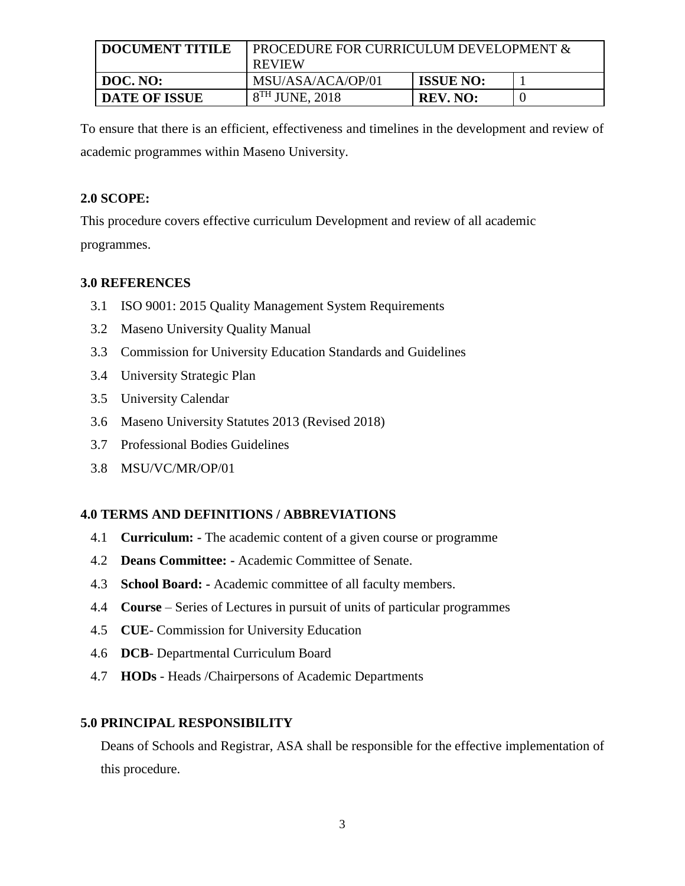| <b>DOCUMENT TITILE</b> | PROCEDURE FOR CURRICULUM DEVELOPMENT &<br><b>REVIEW</b> |                  |  |
|------------------------|---------------------------------------------------------|------------------|--|
| DOC. NO:               | MSU/ASA/ACA/OP/01                                       | <b>ISSUE NO:</b> |  |
| <b>DATE OF ISSUE</b>   | $8^{TH}$ JUNE, 2018                                     | <b>REV. NO:</b>  |  |

To ensure that there is an efficient, effectiveness and timelines in the development and review of academic programmes within Maseno University.

#### **2.0 SCOPE:**

This procedure covers effective curriculum Development and review of all academic

programmes.

### **3.0 REFERENCES**

- 3.1 ISO 9001: 2015 Quality Management System Requirements
- 3.2 Maseno University Quality Manual
- 3.3 Commission for University Education Standards and Guidelines
- 3.4 University Strategic Plan
- 3.5 University Calendar
- 3.6 Maseno University Statutes 2013 (Revised 2018)
- 3.7 Professional Bodies Guidelines
- 3.8 MSU/VC/MR/OP/01

## **4.0 TERMS AND DEFINITIONS / ABBREVIATIONS**

- 4.1 **Curriculum: -** The academic content of a given course or programme
- 4.2 **Deans Committee: -** Academic Committee of Senate.
- 4.3 **School Board: -** Academic committee of all faculty members.
- 4.4 **Course** Series of Lectures in pursuit of units of particular programmes
- 4.5 **CUE** Commission for University Education
- 4.6 **DCB** Departmental Curriculum Board
- 4.7 **HODs** Heads /Chairpersons of Academic Departments

## **5.0 PRINCIPAL RESPONSIBILITY**

Deans of Schools and Registrar, ASA shall be responsible for the effective implementation of this procedure.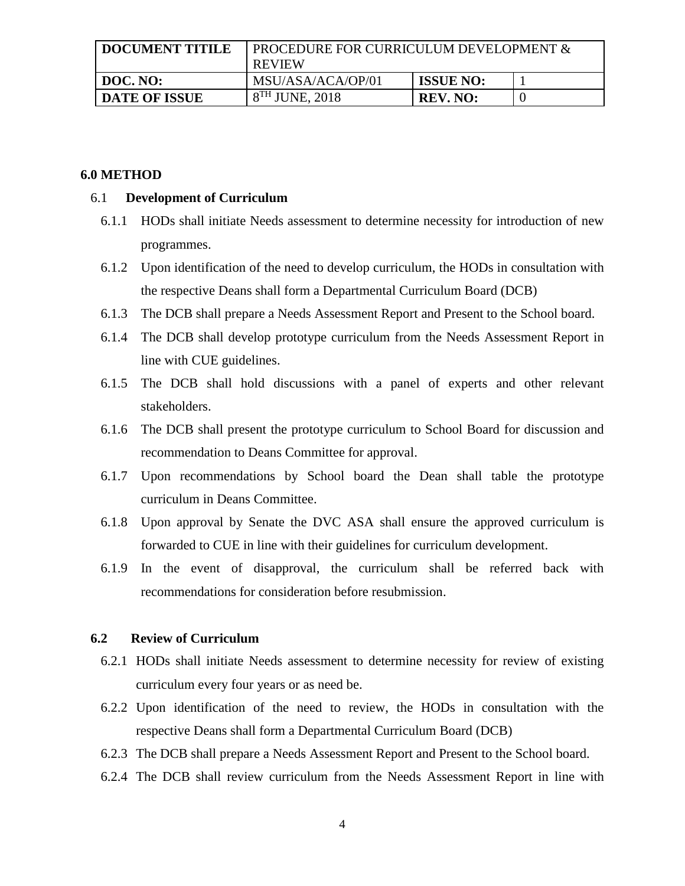| <b>DOCUMENT TITILE</b> | PROCEDURE FOR CURRICULUM DEVELOPMENT &<br><b>REVIEW</b> |                  |  |
|------------------------|---------------------------------------------------------|------------------|--|
| DOC. NO:               | MSU/ASA/ACA/OP/01                                       | <b>ISSUE NO:</b> |  |
| <b>DATE OF ISSUE</b>   | $8TH$ JUNE, 2018                                        | REV. NO:         |  |

#### **6.0 METHOD**

#### 6.1 **Development of Curriculum**

- 6.1.1 HODs shall initiate Needs assessment to determine necessity for introduction of new programmes.
- 6.1.2 Upon identification of the need to develop curriculum, the HODs in consultation with the respective Deans shall form a Departmental Curriculum Board (DCB)
- 6.1.3 The DCB shall prepare a Needs Assessment Report and Present to the School board.
- 6.1.4 The DCB shall develop prototype curriculum from the Needs Assessment Report in line with CUE guidelines.
- 6.1.5 The DCB shall hold discussions with a panel of experts and other relevant stakeholders.
- 6.1.6 The DCB shall present the prototype curriculum to School Board for discussion and recommendation to Deans Committee for approval.
- 6.1.7 Upon recommendations by School board the Dean shall table the prototype curriculum in Deans Committee.
- 6.1.8 Upon approval by Senate the DVC ASA shall ensure the approved curriculum is forwarded to CUE in line with their guidelines for curriculum development.
- 6.1.9 In the event of disapproval, the curriculum shall be referred back with recommendations for consideration before resubmission.

#### **6.2 Review of Curriculum**

- 6.2.1 HODs shall initiate Needs assessment to determine necessity for review of existing curriculum every four years or as need be.
- 6.2.2 Upon identification of the need to review, the HODs in consultation with the respective Deans shall form a Departmental Curriculum Board (DCB)
- 6.2.3 The DCB shall prepare a Needs Assessment Report and Present to the School board.
- 6.2.4 The DCB shall review curriculum from the Needs Assessment Report in line with